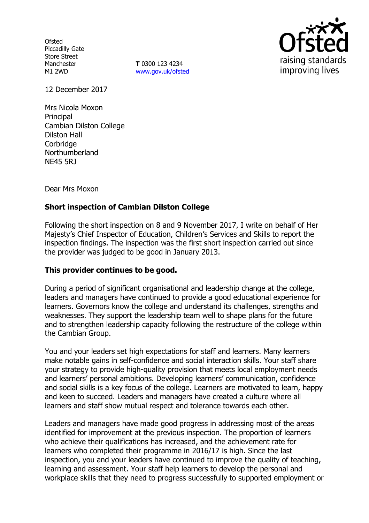**Ofsted** Piccadilly Gate Store Street Manchester M1 2WD

**T** 0300 123 4234 www.gov.uk/ofsted



12 December 2017

Mrs Nicola Moxon **Principal** Cambian Dilston College Dilston Hall **Corbridge** Northumberland NE45 5RJ

Dear Mrs Moxon

# **Short inspection of Cambian Dilston College**

Following the short inspection on 8 and 9 November 2017, I write on behalf of Her Majesty's Chief Inspector of Education, Children's Services and Skills to report the inspection findings. The inspection was the first short inspection carried out since the provider was judged to be good in January 2013.

## **This provider continues to be good.**

During a period of significant organisational and leadership change at the college, leaders and managers have continued to provide a good educational experience for learners. Governors know the college and understand its challenges, strengths and weaknesses. They support the leadership team well to shape plans for the future and to strengthen leadership capacity following the restructure of the college within the Cambian Group.

You and your leaders set high expectations for staff and learners. Many learners make notable gains in self-confidence and social interaction skills. Your staff share your strategy to provide high-quality provision that meets local employment needs and learners' personal ambitions. Developing learners' communication, confidence and social skills is a key focus of the college. Learners are motivated to learn, happy and keen to succeed. Leaders and managers have created a culture where all learners and staff show mutual respect and tolerance towards each other.

Leaders and managers have made good progress in addressing most of the areas identified for improvement at the previous inspection. The proportion of learners who achieve their qualifications has increased, and the achievement rate for learners who completed their programme in 2016/17 is high. Since the last inspection, you and your leaders have continued to improve the quality of teaching, learning and assessment. Your staff help learners to develop the personal and workplace skills that they need to progress successfully to supported employment or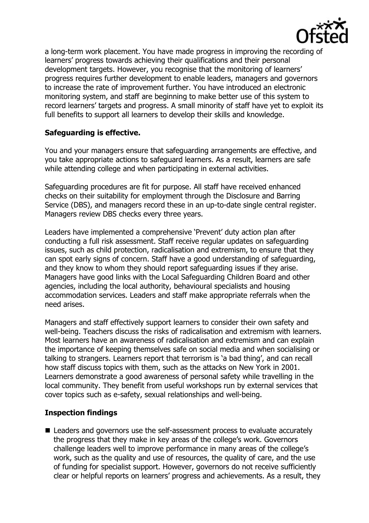

a long-term work placement. You have made progress in improving the recording of learners' progress towards achieving their qualifications and their personal development targets. However, you recognise that the monitoring of learners' progress requires further development to enable leaders, managers and governors to increase the rate of improvement further. You have introduced an electronic monitoring system, and staff are beginning to make better use of this system to record learners' targets and progress. A small minority of staff have yet to exploit its full benefits to support all learners to develop their skills and knowledge.

# **Safeguarding is effective.**

You and your managers ensure that safeguarding arrangements are effective, and you take appropriate actions to safeguard learners. As a result, learners are safe while attending college and when participating in external activities.

Safeguarding procedures are fit for purpose. All staff have received enhanced checks on their suitability for employment through the Disclosure and Barring Service (DBS), and managers record these in an up-to-date single central register. Managers review DBS checks every three years.

Leaders have implemented a comprehensive 'Prevent' duty action plan after conducting a full risk assessment. Staff receive regular updates on safeguarding issues, such as child protection, radicalisation and extremism, to ensure that they can spot early signs of concern. Staff have a good understanding of safeguarding, and they know to whom they should report safeguarding issues if they arise. Managers have good links with the Local Safeguarding Children Board and other agencies, including the local authority, behavioural specialists and housing accommodation services. Leaders and staff make appropriate referrals when the need arises.

Managers and staff effectively support learners to consider their own safety and well-being. Teachers discuss the risks of radicalisation and extremism with learners. Most learners have an awareness of radicalisation and extremism and can explain the importance of keeping themselves safe on social media and when socialising or talking to strangers. Learners report that terrorism is 'a bad thing', and can recall how staff discuss topics with them, such as the attacks on New York in 2001. Learners demonstrate a good awareness of personal safety while travelling in the local community. They benefit from useful workshops run by external services that cover topics such as e-safety, sexual relationships and well-being.

# **Inspection findings**

■ Leaders and governors use the self-assessment process to evaluate accurately the progress that they make in key areas of the college's work. Governors challenge leaders well to improve performance in many areas of the college's work, such as the quality and use of resources, the quality of care, and the use of funding for specialist support. However, governors do not receive sufficiently clear or helpful reports on learners' progress and achievements. As a result, they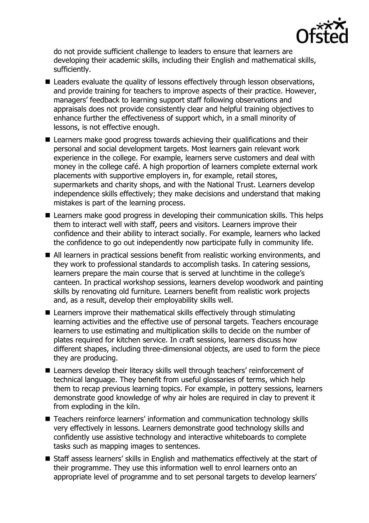

do not provide sufficient challenge to leaders to ensure that learners are developing their academic skills, including their English and mathematical skills, sufficiently.

- Leaders evaluate the quality of lessons effectively through lesson observations, and provide training for teachers to improve aspects of their practice. However, managers' feedback to learning support staff following observations and appraisals does not provide consistently clear and helpful training objectives to enhance further the effectiveness of support which, in a small minority of lessons, is not effective enough.
- Learners make good progress towards achieving their qualifications and their personal and social development targets. Most learners gain relevant work experience in the college. For example, learners serve customers and deal with money in the college café. A high proportion of learners complete external work placements with supportive employers in, for example, retail stores, supermarkets and charity shops, and with the National Trust. Learners develop independence skills effectively; they make decisions and understand that making mistakes is part of the learning process.
- Learners make good progress in developing their communication skills. This helps them to interact well with staff, peers and visitors. Learners improve their confidence and their ability to interact socially. For example, learners who lacked the confidence to go out independently now participate fully in community life.
- All learners in practical sessions benefit from realistic working environments, and they work to professional standards to accomplish tasks. In catering sessions, learners prepare the main course that is served at lunchtime in the college's canteen. In practical workshop sessions, learners develop woodwork and painting skills by renovating old furniture. Learners benefit from realistic work projects and, as a result, develop their employability skills well.
- Learners improve their mathematical skills effectively through stimulating learning activities and the effective use of personal targets. Teachers encourage learners to use estimating and multiplication skills to decide on the number of plates required for kitchen service. In craft sessions, learners discuss how different shapes, including three-dimensional objects, are used to form the piece they are producing.
- Learners develop their literacy skills well through teachers' reinforcement of technical language. They benefit from useful glossaries of terms, which help them to recap previous learning topics. For example, in pottery sessions, learners demonstrate good knowledge of why air holes are required in clay to prevent it from exploding in the kiln.
- Teachers reinforce learners' information and communication technology skills very effectively in lessons. Learners demonstrate good technology skills and confidently use assistive technology and interactive whiteboards to complete tasks such as mapping images to sentences.
- Staff assess learners' skills in English and mathematics effectively at the start of their programme. They use this information well to enrol learners onto an appropriate level of programme and to set personal targets to develop learners'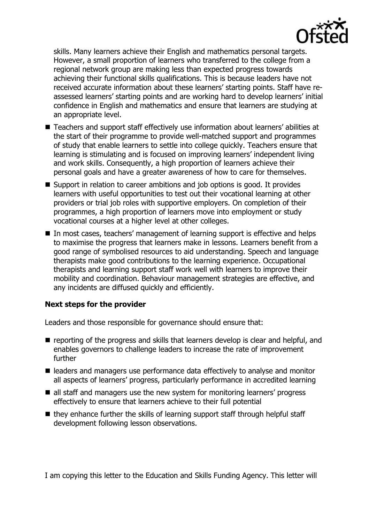

skills. Many learners achieve their English and mathematics personal targets. However, a small proportion of learners who transferred to the college from a regional network group are making less than expected progress towards achieving their functional skills qualifications. This is because leaders have not received accurate information about these learners' starting points. Staff have reassessed learners' starting points and are working hard to develop learners' initial confidence in English and mathematics and ensure that learners are studying at an appropriate level.

- Teachers and support staff effectively use information about learners' abilities at the start of their programme to provide well-matched support and programmes of study that enable learners to settle into college quickly. Teachers ensure that learning is stimulating and is focused on improving learners' independent living and work skills. Consequently, a high proportion of learners achieve their personal goals and have a greater awareness of how to care for themselves.
- Support in relation to career ambitions and job options is good. It provides learners with useful opportunities to test out their vocational learning at other providers or trial job roles with supportive employers. On completion of their programmes, a high proportion of learners move into employment or study vocational courses at a higher level at other colleges.
- In most cases, teachers' management of learning support is effective and helps to maximise the progress that learners make in lessons. Learners benefit from a good range of symbolised resources to aid understanding. Speech and language therapists make good contributions to the learning experience. Occupational therapists and learning support staff work well with learners to improve their mobility and coordination. Behaviour management strategies are effective, and any incidents are diffused quickly and efficiently.

## **Next steps for the provider**

Leaders and those responsible for governance should ensure that:

- reporting of the progress and skills that learners develop is clear and helpful, and enables governors to challenge leaders to increase the rate of improvement further
- leaders and managers use performance data effectively to analyse and monitor all aspects of learners' progress, particularly performance in accredited learning
- all staff and managers use the new system for monitoring learners' progress effectively to ensure that learners achieve to their full potential
- $\blacksquare$  they enhance further the skills of learning support staff through helpful staff development following lesson observations.

I am copying this letter to the Education and Skills Funding Agency. This letter will